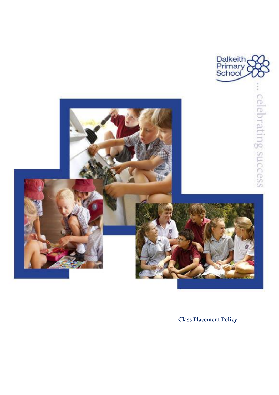

**Class Placement Policy**